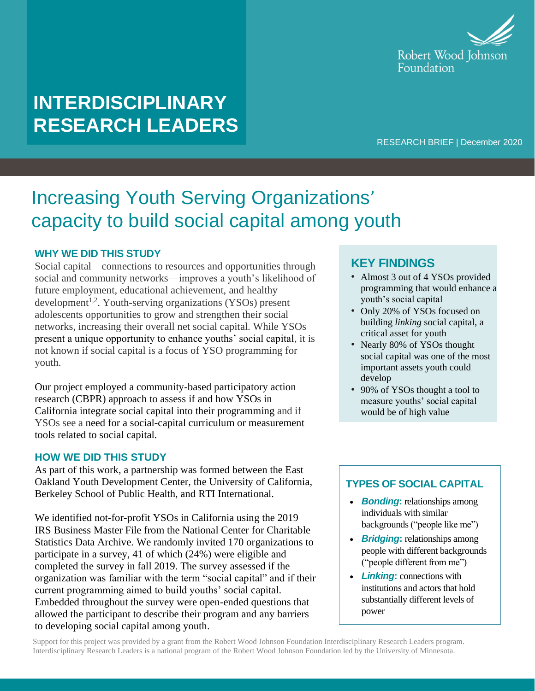

# **INTERDISCIPLINARY RESEARCH LEADERS**

## RESEARCH BRIEF | December 2020

# Increasing Youth Serving Organizations' capacity to build social capital among youth

## **WHY WE DID THIS STUDY**

Social capital—connections to resources and opportunities through social and community networks—improves a youth's likelihood of future employment, educational achievement, and healthy development<sup>1,2</sup>. Youth-serving organizations (YSOs) present adolescents opportunities to grow and strengthen their social networks, increasing their overall net social capital. While YSOs present a unique opportunity to enhance youths' social capital, it is not known if social capital is a focus of YSO programming for youth.

Our project employed a community-based participatory action research (CBPR) approach to assess if and how YSOs in California integrate social capital into their programming and if YSOs see a need for a social-capital curriculum or measurement tools related to social capital.

## **HOW WE DID THIS STUDY**

As part of this work, a partnership was formed between the East Oakland Youth Development Center, the University of California, Berkeley School of Public Health, and RTI International.

We identified not-for-profit YSOs in California using the 2019 IRS Business Master File from the National Center for Charitable Statistics Data Archive. We randomly invited 170 organizations to participate in a survey, 41 of which (24%) were eligible and completed the survey in fall 2019. The survey assessed if the organization was familiar with the term "social capital" and if their current programming aimed to build youths' social capital. Embedded throughout the survey were open-ended questions that allowed the participant to describe their program and any barriers to developing social capital among youth.

## **KEY FINDINGS**

- Almost 3 out of 4 YSOs provided programming that would enhance a youth's social capital
- Only 20% of YSOs focused on building *linking* social capital, a critical asset for youth
- Nearly 80% of YSOs thought social capital was one of the most important assets youth could develop
- 90% of YSOs thought a tool to measure youths' social capital would be of high value

## **TYPES OF SOCIAL CAPITAL**

- *Bonding***:** relationships among individuals with similar backgrounds("people like me")
- *Bridging***:** relationships among people with different backgrounds ("people different from me")
- *Linking***:** connections with institutions and actors that hold substantially different levels of power

Support for this project was provided by a grant from the Robert Wood Johnson Foundation Interdisciplinary Research Leaders program. Interdisciplinary Research Leaders is a national program of the Robert Wood Johnson Foundation led by the University of Minnesota.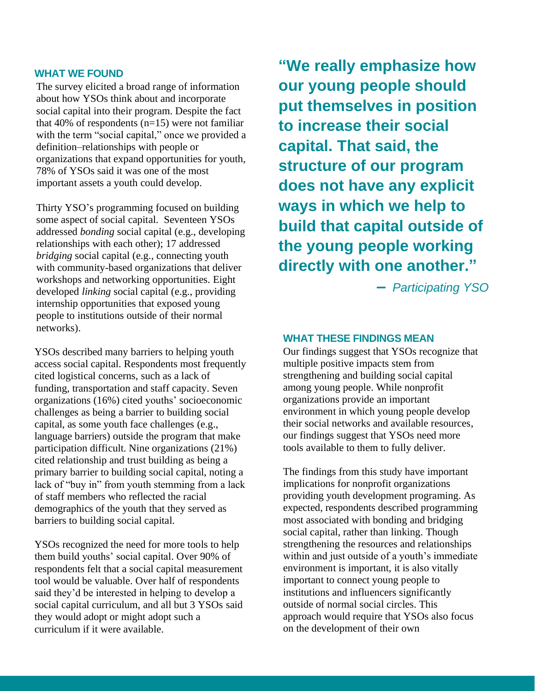## **WHAT WE FOUND**

The survey elicited a broad range of information about how YSOs think about and incorporate social capital into their program. Despite the fact that 40% of respondents  $(n=15)$  were not familiar with the term "social capital," once we provided a definition–relationships with people or organizations that expand opportunities for youth, 78% of YSOs said it was one of the most important assets a youth could develop.

Thirty YSO's programming focused on building some aspect of social capital. Seventeen YSOs addressed *bonding* social capital (e.g., developing relationships with each other); 17 addressed *bridging* social capital (e.g., connecting youth with community-based organizations that deliver workshops and networking opportunities. Eight developed *linking* social capital (e.g., providing internship opportunities that exposed young people to institutions outside of their normal networks).

YSOs described many barriers to helping youth access social capital. Respondents most frequently cited logistical concerns, such as a lack of funding, transportation and staff capacity. Seven organizations (16%) cited youths' socioeconomic challenges as being a barrier to building social capital, as some youth face challenges (e.g., language barriers) outside the program that make participation difficult. Nine organizations (21%) cited relationship and trust building as being a primary barrier to building social capital, noting a lack of "buy in" from youth stemming from a lack of staff members who reflected the racial demographics of the youth that they served as barriers to building social capital.

YSOs recognized the need for more tools to help them build youths' social capital. Over 90% of respondents felt that a social capital measurement tool would be valuable. Over half of respondents said they'd be interested in helping to develop a social capital curriculum, and all but 3 YSOs said they would adopt or might adopt such a curriculum if it were available.

**"We really emphasize how our young people should put themselves in position to increase their social capital. That said, the structure of our program does not have any explicit ways in which we help to build that capital outside of the young people working directly with one another."**

**–** *Participating YSO*

### **WHAT THESE FINDINGS MEAN**

Our findings suggest that YSOs recognize that multiple positive impacts stem from strengthening and building social capital among young people. While nonprofit organizations provide an important environment in which young people develop their social networks and available resources, our findings suggest that YSOs need more tools available to them to fully deliver.

The findings from this study have important implications for nonprofit organizations providing youth development programing. As expected, respondents described programming most associated with bonding and bridging social capital, rather than linking. Though strengthening the resources and relationships within and just outside of a youth's immediate environment is important, it is also vitally important to connect young people to institutions and influencers significantly outside of normal social circles. This approach would require that YSOs also focus on the development of their own